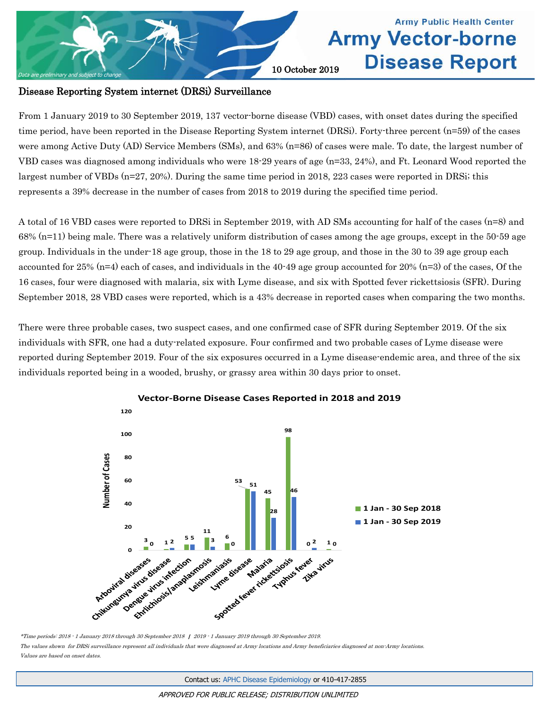

### **Army Public Health Center Army Vector-borne Disease Report**

#### Disease Reporting System internet (DRSi) Surveillance

From 1 January 2019 to 30 September 2019, 137 vector-borne disease (VBD) cases, with onset dates during the specified time period, have been reported in the Disease Reporting System internet (DRSi). Forty-three percent (n=59) of the cases were among Active Duty (AD) Service Members (SMs), and 63% (n=86) of cases were male. To date, the largest number of VBD cases was diagnosed among individuals who were 18-29 years of age (n=33, 24%), and Ft. Leonard Wood reported the largest number of VBDs (n=27, 20%). During the same time period in 2018, 223 cases were reported in DRSi; this represents a 39% decrease in the number of cases from 2018 to 2019 during the specified time period.

A total of 16 VBD cases were reported to DRSi in September 2019, with AD SMs accounting for half of the cases (n=8) and 68% (n=11) being male. There was a relatively uniform distribution of cases among the age groups, except in the 50-59 age group. Individuals in the under-18 age group, those in the 18 to 29 age group, and those in the 30 to 39 age group each accounted for 25% (n=4) each of cases, and individuals in the 40-49 age group accounted for 20% (n=3) of the cases, Of the 16 cases, four were diagnosed with malaria, six with Lyme disease, and six with Spotted fever rickettsiosis (SFR). During September 2018, 28 VBD cases were reported, which is a 43% decrease in reported cases when comparing the two months.

There were three probable cases, two suspect cases, and one confirmed case of SFR during September 2019. Of the six individuals with SFR, one had a duty-related exposure. Four confirmed and two probable cases of Lyme disease were reported during September 2019. Four of the six exposures occurred in a Lyme disease-endemic area, and three of the six individuals reported being in a wooded, brushy, or grassy area within 30 days prior to onset.



**Vector-Borne Disease Cases Reported in 2018 and 2019**

The values shown for DRSi surveillance represent all individuals that were diagnosed at Army locations and Army beneficiaries diagnosed at non-Army locations. Values are based on onset dates.

<sup>\*</sup>Time periods: 2018 - 1 January 2018 through 30 September 2018 | 2019 - 1 January 2019 through 30 September 2019.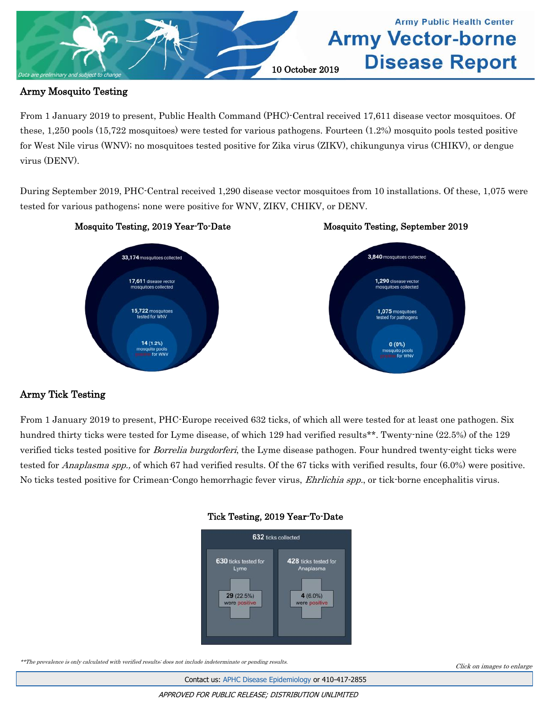

#### Army Mosquito Testing

From 1 January 2019 to present, Public Health Command (PHC)-Central received 17,611 disease vector mosquitoes. Of these, 1,250 pools (15,722 mosquitoes) were tested for various pathogens. Fourteen (1.2%) mosquito pools tested positive for West Nile virus (WNV); no mosquitoes tested positive for Zika virus (ZIKV), chikungunya virus (CHIKV), or dengue virus (DENV).

During September 2019, PHC-Central received 1,290 disease vector mosquitoes from 10 installations. Of these, 1,075 were tested for various pathogens; none were positive for WNV, ZIKV, CHIKV, or DENV.







#### Army Tick Testing

From 1 January 2019 to present, PHC-Europe received 632 ticks, of which all were tested for at least one pathogen. Six hundred thirty ticks were tested for Lyme disease, of which 129 had verified results\*\*. Twenty-nine (22.5%) of the 129 verified ticks tested positive for *Borrelia burgdorferi*, the Lyme disease pathogen. Four hundred twenty-eight ticks were tested for *Anaplasma spp.*, of which 67 had verified results. Of the 67 ticks with verified results, four (6.0%) were positive. No ticks tested positive for Crimean-Congo hemorrhagic fever virus, *Ehrlichia spp.*, or tick-borne encephalitis virus.



#### [Tick Testing, 2019 Year-To-Date](#page-4-0)

\*\*The prevalence is only calculated with verified results; does not include indeterminate or pending results.

Contact us: [APHC Disease Epidemiology](mailto:usarmy.apg.medcom-phc.mbx.disease-epidemiologyprogram13@mail.mil?subject=Vector-borne%20Disease%20Report) or 410-417-2855

Click on images to enlarge

APPROVED FOR PUBLIC RELEASE; DISTRIBUTION UNLIMITED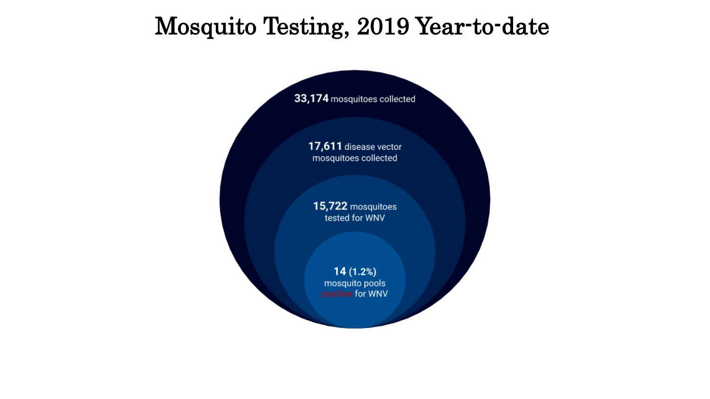# <span id="page-2-0"></span>Mosquito Testing, 2019 Year-to-date

33,174 mosquitoes collected

17,611 disease vector mosquitoes collected

15,722 mosquitoes tested for WNV

> $14(1.2%)$ mosquito pools positive for WNV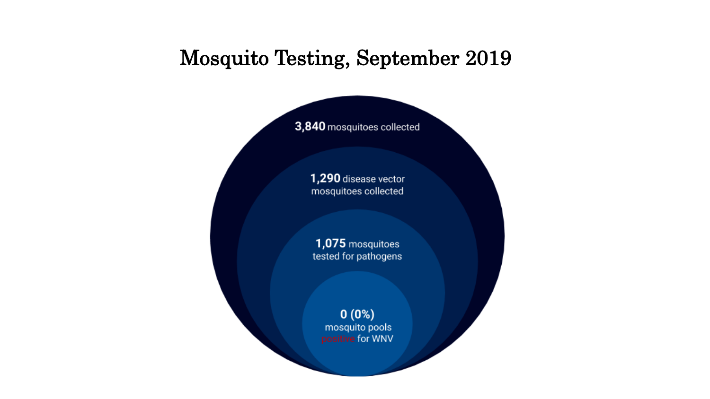### <span id="page-3-0"></span>**Mosquito Testing, September 2019**

3,840 mosquitoes collected

1,290 disease vector mosquitoes collected

1,075 mosquitoes tested for pathogens

> $0(0%)$ mosquito pools positive for WNV